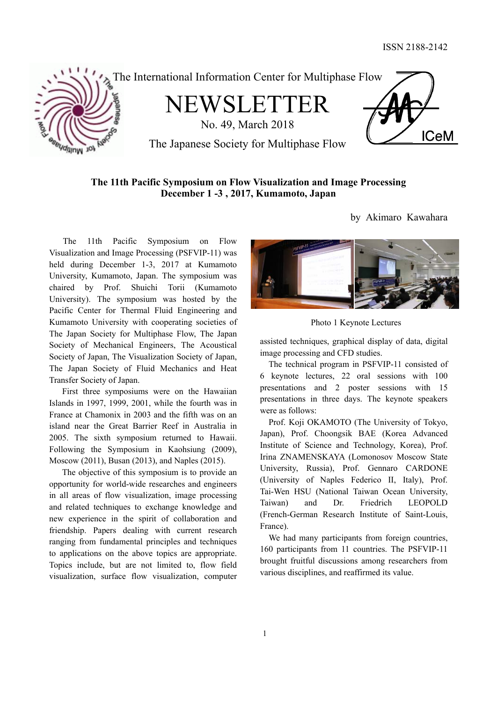

The International Information Center for Multiphase Flow

NEWSLETTER

No. 49, March 2018



by Akimaro Kawahara

The Japanese Society for Multiphase Flow

# **The 11th Pacific Symposium on Flow Visualization and Image Processing December 1 -3 , 2017, Kumamoto, Japan**

 The 11th Pacific Symposium on Flow Visualization and Image Processing (PSFVIP-11) was held during December 1-3, 2017 at Kumamoto University, Kumamoto, Japan. The symposium was chaired by Prof. Shuichi Torii (Kumamoto University). The symposium was hosted by the Pacific Center for Thermal Fluid Engineering and Kumamoto University with cooperating societies of The Japan Society for Multiphase Flow, The Japan Society of Mechanical Engineers, The Acoustical Society of Japan, The Visualization Society of Japan, The Japan Society of Fluid Mechanics and Heat Transfer Society of Japan.

First three symposiums were on the Hawaiian Islands in 1997, 1999, 2001, while the fourth was in France at Chamonix in 2003 and the fifth was on an island near the Great Barrier Reef in Australia in 2005. The sixth symposium returned to Hawaii. Following the Symposium in Kaohsiung (2009), Moscow (2011), Busan (2013), and Naples (2015).

The objective of this symposium is to provide an opportunity for world-wide researches and engineers in all areas of flow visualization, image processing and related techniques to exchange knowledge and new experience in the spirit of collaboration and friendship. Papers dealing with current research ranging from fundamental principles and techniques to applications on the above topics are appropriate. Topics include, but are not limited to, flow field visualization, surface flow visualization, computer



Photo 1 Keynote Lectures

assisted techniques, graphical display of data, digital image processing and CFD studies.

The technical program in PSFVIP-11 consisted of 6 keynote lectures, 22 oral sessions with 100 presentations and 2 poster sessions with 15 presentations in three days. The keynote speakers were as follows:

Prof. Koji OKAMOTO (The University of Tokyo, Japan), Prof. Choongsik BAE (Korea Advanced Institute of Science and Technology, Korea), Prof. Irina ZNAMENSKAYA (Lomonosov Moscow State University, Russia), Prof. Gennaro CARDONE (University of Naples Federico II, Italy), Prof. Tai-Wen HSU (National Taiwan Ocean University, Taiwan) and Dr. Friedrich LEOPOLD (French-German Research Institute of Saint-Louis, France).

We had many participants from foreign countries, 160 participants from 11 countries. The PSFVIP-11 brought fruitful discussions among researchers from various disciplines, and reaffirmed its value.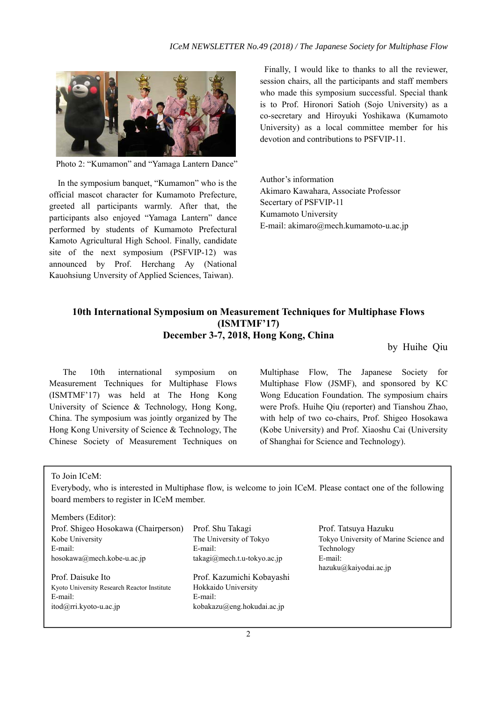

Photo 2: "Kumamon" and "Yamaga Lantern Dance"

In the symposium banquet, "Kumamon" who is the official mascot character for Kumamoto Prefecture, greeted all participants warmly. After that, the participants also enjoyed "Yamaga Lantern" dance performed by students of Kumamoto Prefectural Kamoto Agricultural High School. Finally, candidate site of the next symposium (PSFVIP-12) was announced by Prof. Herchang Ay (National Kauohsiung Unversity of Applied Sciences, Taiwan).

Finally, I would like to thanks to all the reviewer, session chairs, all the participants and staff members who made this symposium successful. Special thank is to Prof. Hironori Satioh (Sojo University) as a co-secretary and Hiroyuki Yoshikawa (Kumamoto University) as a local committee member for his devotion and contributions to PSFVIP-11.

Author's information Akimaro Kawahara, Associate Professor Secertary of PSFVIP-11 Kumamoto University E-mail: akimaro@mech.kumamoto-u.ac.jp

# **10th International Symposium on Measurement Techniques for Multiphase Flows (ISMTMF'17) December 3-7, 2018, Hong Kong, China**

by Huihe Qiu

 The 10th international symposium on Measurement Techniques for Multiphase Flows (ISMTMF'17) was held at The Hong Kong University of Science & Technology, Hong Kong, China. The symposium was jointly organized by The Hong Kong University of Science & Technology, The Chinese Society of Measurement Techniques on

Multiphase Flow, The Japanese Society for Multiphase Flow (JSMF), and sponsored by KC Wong Education Foundation. The symposium chairs were Profs. Huihe Qiu (reporter) and Tianshou Zhao, with help of two co-chairs, Prof. Shigeo Hosokawa (Kobe University) and Prof. Xiaoshu Cai (University of Shanghai for Science and Technology).

To Join ICeM:

Everybody, who is interested in Multiphase flow, is welcome to join ICeM. Please contact one of the following board members to register in ICeM member.

| Members (Editor):                           |                             |                                        |
|---------------------------------------------|-----------------------------|----------------------------------------|
| Prof. Shigeo Hosokawa (Chairperson)         | Prof. Shu Takagi            | Prof. Tatsuya Hazuku                   |
| Kobe University                             | The University of Tokyo     | Tokyo University of Marine Science and |
| E-mail:                                     | E-mail:                     | Technology                             |
| hosokawa@mech.kobe-u.ac.jp                  | takagi@mech.t.u-tokyo.ac.jp | E-mail:                                |
|                                             |                             | hazuku@kaiyodai.ac.jp                  |
| Prof. Daisuke Ito                           | Prof. Kazumichi Kobayashi   |                                        |
| Kyoto University Research Reactor Institute | Hokkaido University         |                                        |
| E-mail:                                     | E-mail:                     |                                        |
| $itod(\omega$ rri.kyoto-u.ac.jp             | kobakazu@eng.hokudai.ac.jp  |                                        |
|                                             |                             |                                        |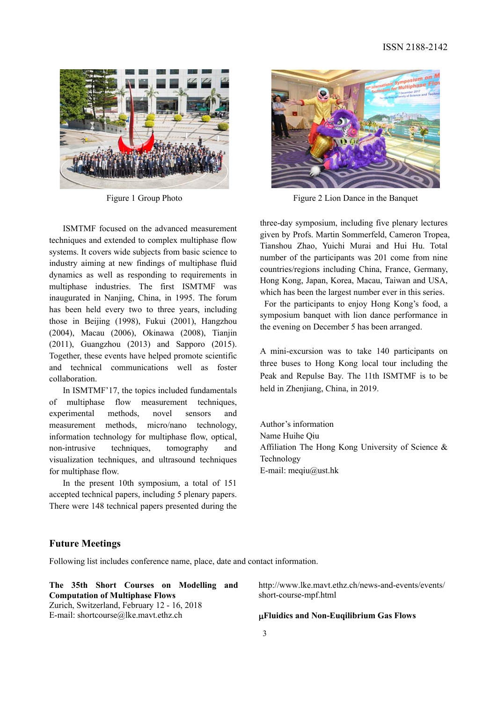

 ISMTMF focused on the advanced measurement techniques and extended to complex multiphase flow systems. It covers wide subjects from basic science to industry aiming at new findings of multiphase fluid dynamics as well as responding to requirements in multiphase industries. The first ISMTMF was inaugurated in Nanjing, China, in 1995. The forum has been held every two to three years, including those in Beijing (1998), Fukui (2001), Hangzhou (2004), Macau (2006), Okinawa (2008), Tianjin (2011), Guangzhou (2013) and Sapporo (2015). Together, these events have helped promote scientific and technical communications well as foster collaboration.

 In ISMTMF'17, the topics included fundamentals of multiphase flow measurement techniques, experimental methods, novel sensors and measurement methods, micro/nano technology, information technology for multiphase flow, optical, non-intrusive techniques, tomography and visualization techniques, and ultrasound techniques for multiphase flow.

 In the present 10th symposium, a total of 151 accepted technical papers, including 5 plenary papers. There were 148 technical papers presented during the



Figure 1 Group Photo Figure 2 Lion Dance in the Banquet

three-day symposium, including five plenary lectures given by Profs. Martin Sommerfeld, Cameron Tropea, Tianshou Zhao, Yuichi Murai and Hui Hu. Total number of the participants was 201 come from nine countries/regions including China, France, Germany, Hong Kong, Japan, Korea, Macau, Taiwan and USA, which has been the largest number ever in this series.

For the participants to enjoy Hong Kong's food, a symposium banquet with lion dance performance in the evening on December 5 has been arranged.

A mini-excursion was to take 140 participants on three buses to Hong Kong local tour including the Peak and Repulse Bay. The 11th ISMTMF is to be held in Zhenjiang, China, in 2019.

Author's information Name Huihe Qiu Affiliation The Hong Kong University of Science & Technology E-mail: meqiu@ust.hk

# **Future Meetings**

Following list includes conference name, place, date and contact information.

**The 35th Short Courses on Modelling and Computation of Multiphase Flows**  Zurich, Switzerland, February 12 - 16, 2018 E-mail: shortcourse@lke.mavt.ethz.ch

http://www.lke.mavt.ethz.ch/news-and-events/events/ short-course-mpf.html

#### **Fluidics and Non-Euqilibrium Gas Flows**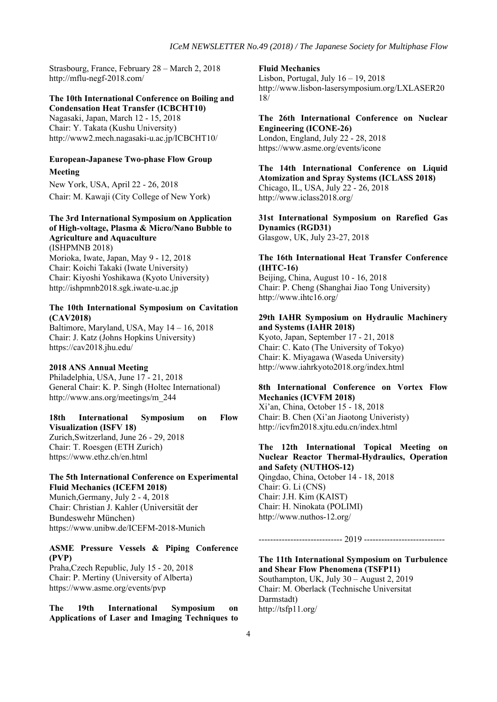Strasbourg, France, February 28 – March 2, 2018 http://mflu-negf-2018.com/

#### **The 10th International Conference on Boiling and Condensation Heat Transfer (ICBCHT10)**

Nagasaki, Japan, March 12 - 15, 2018 Chair: Y. Takata (Kushu University) http://www2.mech.nagasaki-u.ac.jp/ICBCHT10/

## **European-Japanese Two-phase Flow Group Meeting**

New York, USA, April 22 - 26, 2018 Chair: M. Kawaji (City College of New York)

#### **The 3rd International Symposium on Application of High-voltage, Plasma & Micro/Nano Bubble to Agriculture and Aquaculture** (ISHPMNB 2018)

Morioka, Iwate, Japan, May 9 - 12, 2018 Chair: Koichi Takaki (Iwate University) Chair: Kiyoshi Yoshikawa (Kyoto University) http://ishpmnb2018.sgk.iwate-u.ac.jp

#### **The 10th International Symposium on Cavitation (CAV2018)**

Baltimore, Maryland, USA, May 14 – 16, 2018 Chair: J. Katz (Johns Hopkins University) https://cav2018.jhu.edu/

### **2018 ANS Annual Meeting**

Philadelphia, USA, June 17 - 21, 2018 General Chair: K. P. Singh (Holtec International) http://www.ans.org/meetings/m\_244

#### **18th International Symposium on Flow Visualization (ISFV 18)**  Zurich,Switzerland, June 26 - 29, 2018 Chair: T. Roesgen (ETH Zurich) https://www.ethz.ch/en.html

#### **The 5th International Conference on Experimental Fluid Mechanics (ICEFM 2018)**

Munich,Germany, July 2 - 4, 2018 Chair: Christian J. Kahler (Universität der Bundeswehr München) https://www.unibw.de/ICEFM-2018-Munich

#### **ASME Pressure Vessels & Piping Conference (PVP)**

Praha,Czech Republic, July 15 - 20, 2018 Chair: P. Mertiny (University of Alberta) https://www.asme.org/events/pvp

**The 19th International Symposium on Applications of Laser and Imaging Techniques to** 

#### **Fluid Mechanics**

Lisbon, Portugal, July 16 – 19, 2018 http://www.lisbon-lasersymposium.org/LXLASER20 18/

**The 26th International Conference on Nuclear Engineering (ICONE-26)**  London, England, July 22 - 28, 2018 https://www.asme.org/events/icone

**The 14th International Conference on Liquid Atomization and Spray Systems (ICLASS 2018)**  Chicago, IL, USA, July 22 - 26, 2018 http://www.iclass2018.org/

**31st International Symposium on Rarefied Gas Dynamics (RGD31)**  Glasgow, UK, July 23-27, 2018

#### **The 16th International Heat Transfer Conference (IHTC-16)**

Beijing, China, August 10 - 16, 2018 Chair: P. Cheng (Shanghai Jiao Tong University) http://www.ihtc16.org/

#### **29th IAHR Symposium on Hydraulic Machinery and Systems (IAHR 2018)**

Kyoto, Japan, September 17 - 21, 2018 Chair: C. Kato (The University of Tokyo) Chair: K. Miyagawa (Waseda University) http://www.iahrkyoto2018.org/index.html

## **8th International Conference on Vortex Flow Mechanics (ICVFM 2018)**

Xi'an, China, October 15 - 18, 2018 Chair: B. Chen (Xi'an Jiaotong Univeristy) http://icvfm2018.xjtu.edu.cn/index.html

## **The 12th International Topical Meeting on Nuclear Reactor Thermal-Hydraulics, Operation and Safety (NUTHOS-12)**

Qingdao, China, October 14 - 18, 2018 Chair: G. Li (CNS) Chair: J.H. Kim (KAIST) Chair: H. Ninokata (POLIMI) http://www.nuthos-12.org/

----------------------------- 2019 ----------------------------

#### **The 11th International Symposium on Turbulence and Shear Flow Phenomena (TSFP11)**  Southampton, UK, July 30 – August 2, 2019 Chair: M. Oberlack (Technische Universitat Darmstadt) http://tsfp11.org/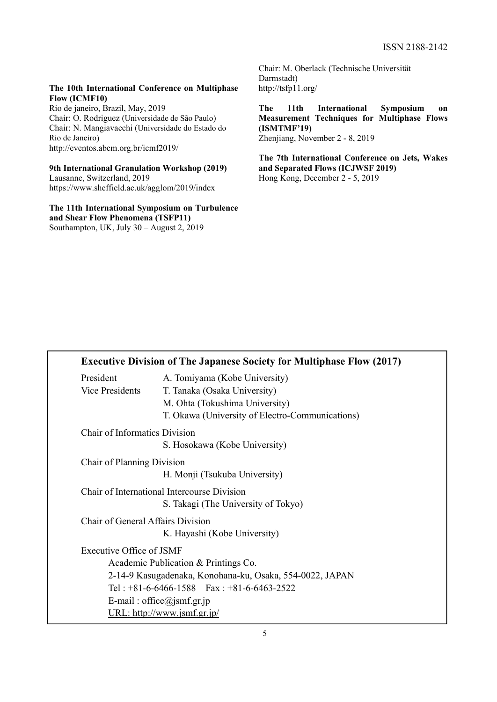#### **The 10th International Conference on Multiphase Flow (ICMF10)**

Rio de janeiro, Brazil, May, 2019 Chair: O. Rodriguez (Universidade de São Paulo) Chair: N. Mangiavacchi (Universidade do Estado do Rio de Janeiro) http://eventos.abcm.org.br/icmf2019/

#### **9th International Granulation Workshop (2019)**  Lausanne, Switzerland, 2019

https://www.sheffield.ac.uk/agglom/2019/index

#### **The 11th International Symposium on Turbulence and Shear Flow Phenomena (TSFP11)**  Southampton, UK, July 30 – August 2, 2019

Chair: M. Oberlack (Technische Universität Darmstadt) http://tsfp11.org/

**The 11th International Symposium on Measurement Techniques for Multiphase Flows (ISMTMF'19)**  Zhenjiang, November 2 - 8, 2019

**The 7th International Conference on Jets, Wakes and Separated Flows (ICJWSF 2019)**  Hong Kong, December 2 - 5, 2019

|                                   | <b>Executive Division of The Japanese Society for Multiphase Flow (2017)</b> |  |
|-----------------------------------|------------------------------------------------------------------------------|--|
| President                         | A. Tomiyama (Kobe University)                                                |  |
| Vice Presidents                   | T. Tanaka (Osaka University)                                                 |  |
|                                   | M. Ohta (Tokushima University)                                               |  |
|                                   | T. Okawa (University of Electro-Communications)                              |  |
| Chair of Informatics Division     |                                                                              |  |
|                                   | S. Hosokawa (Kobe University)                                                |  |
| Chair of Planning Division        |                                                                              |  |
|                                   | H. Monji (Tsukuba University)                                                |  |
|                                   | Chair of International Intercourse Division                                  |  |
|                                   | S. Takagi (The University of Tokyo)                                          |  |
| Chair of General Affairs Division |                                                                              |  |
|                                   | K. Hayashi (Kobe University)                                                 |  |
| Executive Office of JSMF          |                                                                              |  |
|                                   | Academic Publication & Printings Co.                                         |  |
|                                   | 2-14-9 Kasugadenaka, Konohana-ku, Osaka, 554-0022, JAPAN                     |  |
|                                   | Tel: $+81-6-6466-1588$ Fax: $+81-6-6463-2522$                                |  |
|                                   | E-mail: office@jsmf.gr.jp                                                    |  |
|                                   | <u> URL: http://www.jsmf.gr.jp/</u>                                          |  |